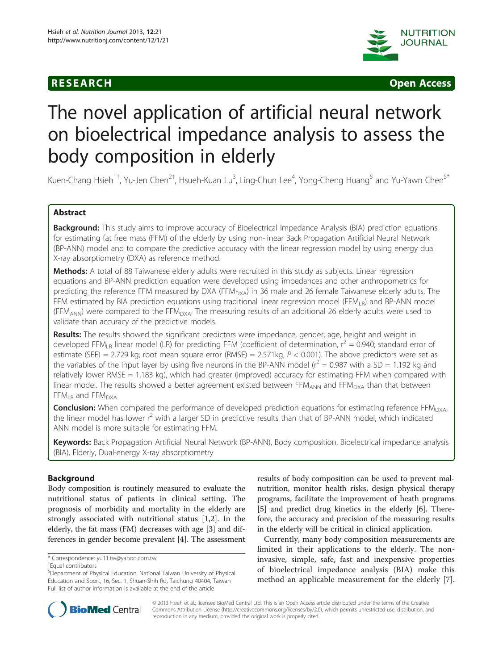



# The novel application of artificial neural network on bioelectrical impedance analysis to assess the body composition in elderly

Kuen-Chang Hsieh $^{1\dagger}$ , Yu-Jen Chen $^{2\dagger}$ , Hsueh-Kuan Lu $^3$ , Ling-Chun Lee $^4$ , Yong-Cheng Huang $^5$  and Yu-Yawn Chen $^{5^\ast}$ 

# Abstract

Background: This study aims to improve accuracy of Bioelectrical Impedance Analysis (BIA) prediction equations for estimating fat free mass (FFM) of the elderly by using non-linear Back Propagation Artificial Neural Network (BP-ANN) model and to compare the predictive accuracy with the linear regression model by using energy dual X-ray absorptiometry (DXA) as reference method.

Methods: A total of 88 Taiwanese elderly adults were recruited in this study as subjects. Linear regression equations and BP-ANN prediction equation were developed using impedances and other anthropometrics for predicting the reference FFM measured by DXA (FFM $_{\text{DXA}}$ ) in 36 male and 26 female Taiwanese elderly adults. The FFM estimated by BIA prediction equations using traditional linear regression model (FFM<sub>LR</sub>) and BP-ANN model (FFM<sub>ANN</sub>) were compared to the FFM<sub>DXA</sub>. The measuring results of an additional 26 elderly adults were used to validate than accuracy of the predictive models.

Results: The results showed the significant predictors were impedance, gender, age, height and weight in developed FFM<sub>LR</sub> linear model (LR) for predicting FFM (coefficient of determination,  $r^2 = 0.940$ ; standard error of estimate (SEE) = 2.729 kg; root mean square error (RMSE) = 2.571kg,  $P < 0.001$ ). The above predictors were set as the variables of the input layer by using five neurons in the BP-ANN model ( $r^2 = 0.987$  with a SD = 1.192 kg and relatively lower RMSE = 1.183 kg), which had greater (improved) accuracy for estimating FFM when compared with linear model. The results showed a better agreement existed between FFM<sub>ANN</sub> and FFM<sub>DXA</sub> than that between  $FFM<sub>LR</sub>$  and  $FFM<sub>DXA</sub>$ .

Conclusion: When compared the performance of developed prediction equations for estimating reference FFM<sub>DXA</sub>, the linear model has lower  $r^2$  with a larger SD in predictive results than that of BP-ANN model, which indicated ANN model is more suitable for estimating FFM.

Keywords: Back Propagation Artificial Neural Network (BP-ANN), Body composition, Bioelectrical impedance analysis (BIA), Elderly, Dual-energy X-ray absorptiometry

# Background

Body composition is routinely measured to evaluate the nutritional status of patients in clinical setting. The prognosis of morbidity and mortality in the elderly are strongly associated with nutritional status [\[1,2](#page-6-0)]. In the elderly, the fat mass (FM) decreases with age [\[3](#page-6-0)] and differences in gender become prevalent [\[4](#page-6-0)]. The assessment

results of body composition can be used to prevent malnutrition, monitor health risks, design physical therapy programs, facilitate the improvement of heath programs [[5\]](#page-6-0) and predict drug kinetics in the elderly [\[6](#page-6-0)]. Therefore, the accuracy and precision of the measuring results in the elderly will be critical in clinical application.

Currently, many body composition measurements are limited in their applications to the elderly. The noninvasive, simple, safe, fast and inexpensive properties of bioelectrical impedance analysis (BIA) make this method an applicable measurement for the elderly [\[7](#page-6-0)].



© 2013 Hsieh et al.; licensee BioMed Central Ltd. This is an Open Access article distributed under the terms of the Creative Commons Attribution License [\(http://creativecommons.org/licenses/by/2.0\)](http://creativecommons.org/licenses/by/2.0), which permits unrestricted use, distribution, and reproduction in any medium, provided the original work is properly cited.

<sup>\*</sup> Correspondence: [yu11.tw@yahoo.com.tw](mailto:yu11.tw@yahoo.com.tw) †

Equal contributors

<sup>5</sup> Department of Physical Education, National Taiwan University of Physical Education and Sport, 16, Sec. 1, Shuan-Shih Rd, Taichung 40404, Taiwan Full list of author information is available at the end of the article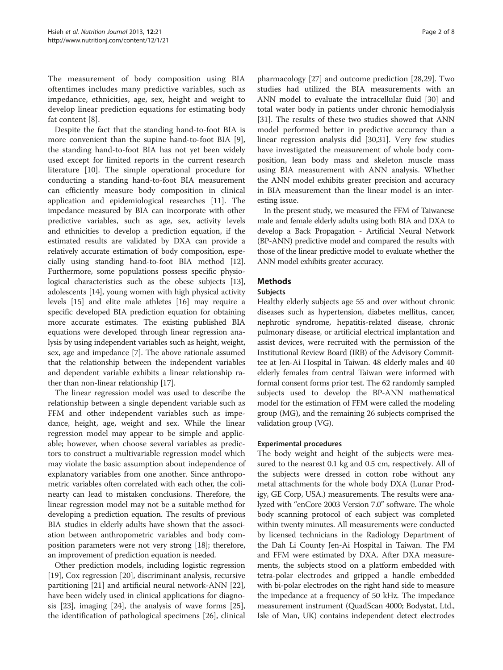The measurement of body composition using BIA oftentimes includes many predictive variables, such as impedance, ethnicities, age, sex, height and weight to develop linear prediction equations for estimating body fat content [[8\]](#page-6-0).

Despite the fact that the standing hand-to-foot BIA is more convenient than the supine hand-to-foot BIA [\[9](#page-6-0)], the standing hand-to-foot BIA has not yet been widely used except for limited reports in the current research literature [\[10](#page-7-0)]. The simple operational procedure for conducting a standing hand-to-foot BIA measurement can efficiently measure body composition in clinical application and epidemiological researches [[11\]](#page-7-0). The impedance measured by BIA can incorporate with other predictive variables, such as age, sex, activity levels and ethnicities to develop a prediction equation, if the estimated results are validated by DXA can provide a relatively accurate estimation of body composition, especially using standing hand-to-foot BIA method [[12](#page-7-0)]. Furthermore, some populations possess specific physiological characteristics such as the obese subjects [[13](#page-7-0)], adolescents [\[14](#page-7-0)], young women with high physical activity levels [\[15\]](#page-7-0) and elite male athletes [[16](#page-7-0)] may require a specific developed BIA prediction equation for obtaining more accurate estimates. The existing published BIA equations were developed through linear regression analysis by using independent variables such as height, weight, sex, age and impedance [\[7\]](#page-6-0). The above rationale assumed that the relationship between the independent variables and dependent variable exhibits a linear relationship rather than non-linear relationship [\[17\]](#page-7-0).

The linear regression model was used to describe the relationship between a single dependent variable such as FFM and other independent variables such as impedance, height, age, weight and sex. While the linear regression model may appear to be simple and applicable; however, when choose several variables as predictors to construct a multivariable regression model which may violate the basic assumption about independence of explanatory variables from one another. Since anthropometric variables often correlated with each other, the colinearty can lead to mistaken conclusions. Therefore, the linear regression model may not be a suitable method for developing a prediction equation. The results of previous BIA studies in elderly adults have shown that the association between anthropometric variables and body composition parameters were not very strong [[18](#page-7-0)]; therefore, an improvement of prediction equation is needed.

Other prediction models, including logistic regression [[19\]](#page-7-0), Cox regression [[20\]](#page-7-0), discriminant analysis, recursive partitioning [[21\]](#page-7-0) and artificial neural network-ANN [\[22](#page-7-0)], have been widely used in clinical applications for diagnosis [\[23](#page-7-0)], imaging [\[24](#page-7-0)], the analysis of wave forms [\[25](#page-7-0)], the identification of pathological specimens [\[26\]](#page-7-0), clinical

pharmacology [[27](#page-7-0)] and outcome prediction [[28,29\]](#page-7-0). Two studies had utilized the BIA measurements with an ANN model to evaluate the intracellular fluid [\[30](#page-7-0)] and total water body in patients under chronic hemodialysis [[31\]](#page-7-0). The results of these two studies showed that ANN model performed better in predictive accuracy than a linear regression analysis did [[30](#page-7-0),[31](#page-7-0)]. Very few studies have investigated the measurement of whole body composition, lean body mass and skeleton muscle mass using BIA measurement with ANN analysis. Whether the ANN model exhibits greater precision and accuracy in BIA measurement than the linear model is an interesting issue.

In the present study, we measured the FFM of Taiwanese male and female elderly adults using both BIA and DXA to develop a Back Propagation - Artificial Neural Network (BP-ANN) predictive model and compared the results with those of the linear predictive model to evaluate whether the ANN model exhibits greater accuracy.

# Methods

## Subjects

Healthy elderly subjects age 55 and over without chronic diseases such as hypertension, diabetes mellitus, cancer, nephrotic syndrome, hepatitis-related disease, chronic pulmonary disease, or artificial electrical implantation and assist devices, were recruited with the permission of the Institutional Review Board (IRB) of the Advisory Committee at Jen-Ai Hospital in Taiwan. 48 elderly males and 40 elderly females from central Taiwan were informed with formal consent forms prior test. The 62 randomly sampled subjects used to develop the BP-ANN mathematical model for the estimation of FFM were called the modeling group (MG), and the remaining 26 subjects comprised the validation group (VG).

## Experimental procedures

The body weight and height of the subjects were measured to the nearest 0.1 kg and 0.5 cm, respectively. All of the subjects were dressed in cotton robe without any metal attachments for the whole body DXA (Lunar Prodigy, GE Corp, USA.) measurements. The results were analyzed with "enCore 2003 Version 7.0" software. The whole body scanning protocol of each subject was completed within twenty minutes. All measurements were conducted by licensed technicians in the Radiology Department of the Dah Li County Jen-Ai Hospital in Taiwan. The FM and FFM were estimated by DXA. After DXA measurements, the subjects stood on a platform embedded with tetra-polar electrodes and gripped a handle embedded with bi-polar electrodes on the right hand side to measure the impedance at a frequency of 50 kHz. The impedance measurement instrument (QuadScan 4000; Bodystat, Ltd., Isle of Man, UK) contains independent detect electrodes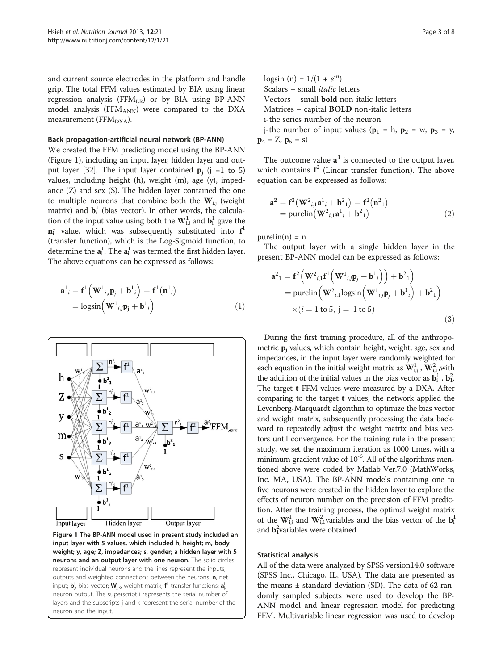and current source electrodes in the platform and handle grip. The total FFM values estimated by BIA using linear regression analysis (FFMLR) or by BIA using BP-ANN model analysis (FFMANN) were compared to the DXA measurement ( $FFM<sub>DXA</sub>$ ).

#### Back propagation-artificial neural network (BP-ANN)

We created the FFM predicting model using the BP-ANN (Figure 1), including an input layer, hidden layer and out-put layer [\[32\]](#page-7-0). The input layer contained  $p_i$  (j =1 to 5) values, including height (h), weight (m), age (y), impedance (Z) and sex (S). The hidden layer contained the one to multiple neurons that combine both the  $\mathbf{W}_{\text{i,j}}^1$  (weight matrix) and  $\mathbf{b}_i^1$  (bias vector). In other words, the calculation of the input value using both the  $\mathbf{W}_{\text{i,j}}^1$  and  $\mathbf{b}_\text{i}^1$  gave the  $\mathbf{n}_i^1$  value, which was subsequently substituted into  $\mathbf{f}^1$ (transfer function), which is the Log-Sigmoid function, to determine the  $\mathbf{a}^{1}_{i}$ . The  $\mathbf{a}^{1}_{i}$  was termed the first hidden layer. The above equations can be expressed as follows:

$$
\mathbf{a}^{1}_{i} = \mathbf{f}^{1} \left( \mathbf{W}^{1}{}_{i j} \mathbf{p}_{j} + \mathbf{b}^{1}{}_{i} \right) = \mathbf{f}^{1} \left( \mathbf{n}^{1}{}_{i} \right)
$$

$$
= \log \sin \left( \mathbf{W}^{1}{}_{i j} \mathbf{p}_{j} + \mathbf{b}^{1}{}_{i} \right) \tag{1}
$$



Figure 1 The BP-ANN model used in present study included an input layer with 5 values, which included h, height; m, body weight; y, age; Z, impedances; s, gender; a hidden layer with 5 neurons and an output layer with one neuron. The solid circles represent individual neurons and the lines represent the inputs, outputs and weighted connections between the neurons. **n**, net input;  $\textbf{b}^{\text{i}}_{\text{j}}$ , bias vector;  $\textbf{W}_{\text{j},\text{k}}^{\text{i}}$  weight matrix;  $\textbf{f}^{\text{i}}$ , transfer functions;  $\textbf{a}^{\text{j}}_{\text{j}}$ , neuron output. The superscript i represents the serial number of layers and the subscripts j and k represent the serial number of the neuron and the input.

logsin (n) =  $1/(1 + e^{-n})$ Scalars – small italic letters Vectors – small bold non-italic letters Matrices – capital BOLD non-italic letters i-the series number of the neuron j-the number of input values ( $\mathbf{p}_1 = \mathbf{h}$ ,  $\mathbf{p}_2 = \mathbf{w}$ ,  $\mathbf{p}_3 = \mathbf{y}$ ,

 $\mathbf{p}_4 = Z$ ,  $\mathbf{p}_5 = s$ )

The outcome value  $a<sup>1</sup>$  is connected to the output layer, which contains  $f^2$  (Linear transfer function). The above equation can be expressed as follows:

$$
\mathbf{a}^2 = \mathbf{f}^2 (\mathbf{W}^2_{i,1} \mathbf{a}^1_{i} + \mathbf{b}^2_{1}) = \mathbf{f}^2 (\mathbf{n}^2_{1})
$$
  
= purelin $(\mathbf{W}^2_{i,1} \mathbf{a}^1_{i} + \mathbf{b}^2_{1})$  (2)

 $purelin(n) = n$ 

The output layer with a single hidden layer in the present BP-ANN model can be expressed as follows:

$$
\mathbf{a}^{2}_{1} = \mathbf{f}^{2} \Big( \mathbf{W}^{2}_{i,1} \mathbf{f}^{1} \Big( \mathbf{W}^{1}_{ij} \mathbf{p}_{j} + \mathbf{b}^{1}_{i} \Big) \Big) + \mathbf{b}^{2}_{1} \Big)
$$
  
= purelin \Big( \mathbf{W}^{2}\_{i,1} \text{logsin} \Big( \mathbf{W}^{1}\_{ij} \mathbf{p}\_{j} + \mathbf{b}^{1}\_{i} \Big) + \mathbf{b}^{2}\_{1} \Big)   
\times (i = 1 \text{ to } 5, j = 1 \text{ to } 5) (3)

During the first training procedure, all of the anthropometric **p**<sub>i</sub> values, which contain height, weight, age, sex and impedances, in the input layer were randomly weighted for each equation in the initial weight matrix as  $\mathbf{W}_{i,j}^1$ ,  $\mathbf{W}_{i,1}^2$ , with the addition of the initial values in the bias vector as  $\mathbf{b}_i^1$ ,  $\mathbf{b}_i^2$ . The target t FFM values were measured by a DXA. After comparing to the target t values, the network applied the Levenberg-Marquardt algorithm to optimize the bias vector and weight matrix, subsequently processing the data backward to repeatedly adjust the weight matrix and bias vectors until convergence. For the training rule in the present study, we set the maximum iteration as 1000 times, with a minimum gradient value of  $10^{-6}$ . All of the algorithms mentioned above were coded by Matlab Ver.7.0 (MathWorks, Inc. MA, USA). The BP-ANN models containing one to five neurons were created in the hidden layer to explore the effects of neuron number on the precision of FFM prediction. After the training process, the optimal weight matrix of the  $\mathbf{W}_{i,j}^1$  and  $\mathbf{W}_{i,1}^2$  variables and the bias vector of the  $\mathbf{b}_i^1$ and  $\mathbf{b}_1^2$ variables were obtained.

# Statistical analysis

All of the data were analyzed by SPSS version14.0 software (SPSS Inc., Chicago, IL, USA). The data are presented as the means  $\pm$  standard deviation (SD). The data of 62 randomly sampled subjects were used to develop the BP-ANN model and linear regression model for predicting FFM. Multivariable linear regression was used to develop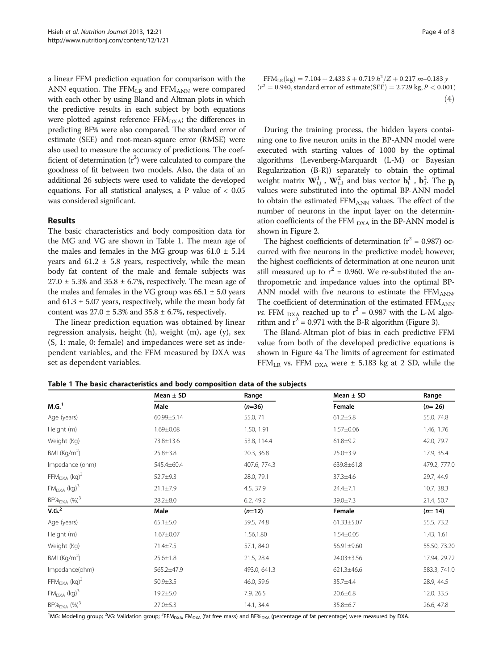<span id="page-3-0"></span>a linear FFM prediction equation for comparison with the ANN equation. The  $FFM_{LR}$  and  $FFM_{ANN}$  were compared with each other by using Bland and Altman plots in which the predictive results in each subject by both equations were plotted against reference  $FFM<sub>DXA</sub>$ ; the differences in predicting BF% were also compared. The standard error of estimate (SEE) and root-mean-square error (RMSE) were also used to measure the accuracy of predictions. The coefficient of determination  $(r^2)$  were calculated to compare the goodness of fit between two models. Also, the data of an additional 26 subjects were used to validate the developed equations. For all statistical analyses, a P value of < 0.05 was considered significant.

## Results

The basic characteristics and body composition data for the MG and VG are shown in Table 1. The mean age of the males and females in the MG group was  $61.0 \pm 5.14$ years and  $61.2 \pm 5.8$  years, respectively, while the mean body fat content of the male and female subjects was  $27.0 \pm 5.3\%$  and  $35.8 \pm 6.7\%$ , respectively. The mean age of the males and females in the VG group was  $65.1 \pm 5.0$  years and  $61.3 \pm 5.07$  years, respectively, while the mean body fat content was  $27.0 \pm 5.3\%$  and  $35.8 \pm 6.7\%$ , respectively.

The linear prediction equation was obtained by linear regression analysis, height (h), weight (m), age (y), sex (S, 1: male, 0: female) and impedances were set as independent variables, and the FFM measured by DXA was set as dependent variables.

FFM<sub>LR</sub>(kg) = 7.104 + 2.433 S + 0.719  $h^2/Z$  + 0.217 m-0.183 y  $r^2 = 0.940$ , standard error of estimate (SEE) = 2.729 kg, P < 0.001)  $(4)$ 

During the training process, the hidden layers containing one to five neuron units in the BP-ANN model were executed with starting values of 1000 by the optimal algorithms (Levenberg-Marquardt (L-M) or Bayesian Regularization (B-R)) separately to obtain the optimal weight matrix  $\mathbf{W}_{i,j}^1$ ,  $\mathbf{W}_{i,1}^2$  and bias vector  $\mathbf{b}_i^1$ ,  $\mathbf{b}_1^2$ . The  $\mathbf{p}_j$ values were substituted into the optimal BP-ANN model to obtain the estimated  $FFM_{ANN}$  values. The effect of the number of neurons in the input layer on the determination coefficients of the FFM  $_{\text{DXA}}$  in the BP-ANN model is shown in Figure [2](#page-4-0).

The highest coefficients of determination ( $r^2$  = 0.987) occurred with five neurons in the predictive model; however, the highest coefficients of determination at one neuron unit still measured up to  $r^2$  = 0.960. We re-substituted the anthropometric and impedance values into the optimal BP-ANN model with five neurons to estimate the  $FFM_{ANN}$ . The coefficient of determination of the estimated FFMANN *vs.* FFM  $_{\text{DXA}}$  reached up to  $r^2 = 0.987$  with the L-M algorithm and  $r^2$  = 0.971 with the B-R algorithm (Figure [3\)](#page-4-0).

The Bland-Altman plot of bias in each predictive FFM value from both of the developed predictive equations is shown in Figure [4](#page-5-0)a The limits of agreement for estimated FFM<sub>LR</sub> vs. FFM  $_{\text{DXA}}$  were  $\pm$  5.183 kg at 2 SD, while the

| M.G. <sup>1</sup>             | Mean $\pm$ SD<br>Male | Range<br>$(n=36)$ | Mean $\pm$ SD<br>Female | Range<br>$(n=26)$ |
|-------------------------------|-----------------------|-------------------|-------------------------|-------------------|
|                               |                       |                   |                         |                   |
| Height (m)                    | $1.69 \pm 0.08$       | 1.50, 1.91        | $1.57 \pm 0.06$         | 1.46, 1.76        |
| Weight (Kg)                   | 73.8±13.6             | 53.8, 114.4       | $61.8 \pm 9.2$          | 42.0, 79.7        |
| BMI ( $\text{Kg/m}^2$ )       | $25.8 \pm 3.8$        | 20.3, 36.8        | $25.0 \pm 3.9$          | 17.9, 35.4        |
| Impedance (ohm)               | 545.4±60.4            | 407.6, 774.3      | 639.8±61.8              | 479.2, 777.0      |
| $FFMDXA$ (kg) <sup>3</sup>    | 52.7±9.3              | 28.0, 79.1        | 37.3±4.6                | 29.7, 44.9        |
| $FM_{DXA}$ (kg) <sup>3</sup>  | $21.1 \pm 7.9$        | 4.5, 37.9         | 24.4±7.1                | 10.7, 38.3        |
| $BF\%_{DXA}$ (%) <sup>3</sup> | $28.2 \pm 8.0$        | 6.2, 49.2         | 39.0±7.3                | 21.4, 50.7        |
| V.G. <sup>2</sup>             | Male                  | $(n=12)$          | Female                  | $(n=14)$          |
| Age (years)                   | $65.1 \pm 5.0$        | 59.5, 74.8        | 61.33±5.07              | 55.5, 73.2        |
| Height (m)                    | $1.67 \pm 0.07$       | 1.56,1.80         | $1.54 \pm 0.05$         | 1.43, 1.61        |
| Weight (Kg)                   | 71.4±7.5              | 57.1, 84.0        | 56.91±9.60              | 55.50, 73.20      |
| BMI $(Kq/m2)$                 | $25.6 \pm 1.8$        | 21.5, 28.4        | 24.03±3.56              | 17.94, 29.72      |
| Impedance(ohm)                | 565.2±47.9            | 493.0, 641.3      | 621.3±46.6              | 583.3, 741.0      |
| $FFMDXA$ (kg) <sup>3</sup>    | $50.9 \pm 3.5$        | 46.0, 59.6        | 35.7±4.4                | 28.9, 44.5        |
| $FMDXA$ (kg) <sup>3</sup>     | $19.2 \pm 5.0$        | 7.9, 26.5         | $20.6 \pm 6.8$          | 12.0, 33.5        |
| $BF\%_{DXA}$ (%) <sup>3</sup> | $27.0 \pm 5.3$        | 14.1, 34.4        | 35.8±6.7                | 26.6, 47.8        |

Table 1 The basic characteristics and body composition data of the subjects

<sup>1</sup>MG: Modeling group; <sup>2</sup>VG: Validation group; <sup>3</sup>FFM<sub>DXA</sub>, FM<sub>DXA</sub> (fat free mass) and BF%<sub>DXA</sub> (percentage of fat percentage) were measured by DXA.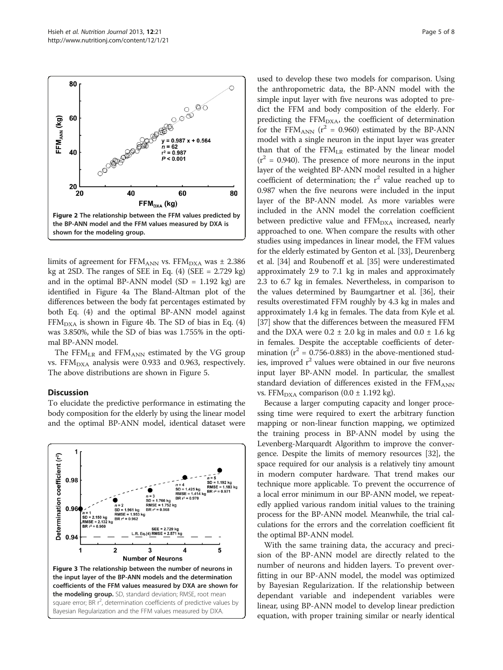<span id="page-4-0"></span>80

60

40

20 20

FFM<sub>ANN</sub> (kg)



**CONSCRECTION OF THE PARTY OF THE PARTY OF THE PARTY OF THE PARTY OF THE PARTY OF THE PARTY OF THE PARTY OF THE** 

40

0000

 $0.987 \times + 0.564$ 

 $= 62$ 

 $= 0.987$  $< 0.001$ 

60

80

was 3.850%, while the SD of bias was 1.755% in the optimal BP-ANN model. The  $FFM_{LR}$  and  $FFM_{ANN}$  estimated by the VG group

# vs. FFM $_{\text{DXA}}$  analysis were 0.933 and 0.963, respectively. The above distributions are shown in Figure [5](#page-5-0).

# **Discussion**

To elucidate the predictive performance in estimating the body composition for the elderly by using the linear model and the optimal BP-ANN model, identical dataset were



used to develop these two models for comparison. Using the anthropometric data, the BP-ANN model with the simple input layer with five neurons was adopted to predict the FFM and body composition of the elderly. For predicting the  $FFM<sub>DXA</sub>$ , the coefficient of determination for the FFM<sub>ANN</sub> ( $r^2$  = 0.960) estimated by the BP-ANN model with a single neuron in the input layer was greater than that of the  $FFM<sub>LR</sub>$  estimated by the linear model  $(r^2 = 0.940)$ . The presence of more neurons in the input layer of the weighted BP-ANN model resulted in a higher coefficient of determination; the  $r^2$  value reached up to 0.987 when the five neurons were included in the input layer of the BP-ANN model. As more variables were included in the ANN model the correlation coefficient between predictive value and  $FFM<sub>DXA</sub>$  increased, nearly approached to one. When compare the results with other studies using impedances in linear model, the FFM values for the elderly estimated by Genton et al. [[33](#page-7-0)], Deurenberg et al. [\[34\]](#page-7-0) and Roubenoff et al. [[35](#page-7-0)] were underestimated approximately 2.9 to 7.1 kg in males and approximately 2.3 to 6.7 kg in females. Nevertheless, in comparison to the values determined by Baumgartner et al. [\[36](#page-7-0)], their results overestimated FFM roughly by 4.3 kg in males and approximately 1.4 kg in females. The data from Kyle et al. [[37](#page-7-0)] show that the differences between the measured FFM and the DXA were  $0.2 \pm 2.0$  kg in males and  $0.0 \pm 1.6$  kg in females. Despite the acceptable coefficients of determination ( $r^2$  = 0.756-0.883) in the above-mentioned studies, improved  $r^2$  values were obtained in our five neurons input layer BP-ANN model. In particular, the smallest standard deviation of differences existed in the  $FFM_{ANN}$ vs. FFM<sub>DXA</sub> comparison (0.0  $\pm$  1.192 kg).

Because a larger computing capacity and longer processing time were required to exert the arbitrary function mapping or non-linear function mapping, we optimized the training process in BP-ANN model by using the Levenberg-Marquardt Algorithm to improve the convergence. Despite the limits of memory resources [[32](#page-7-0)], the space required for our analysis is a relatively tiny amount in modern computer hardware. That trend makes our technique more applicable. To prevent the occurrence of a local error minimum in our BP-ANN model, we repeatedly applied various random initial values to the training process for the BP-ANN model. Meanwhile, the trial calculations for the errors and the correlation coefficient fit the optimal BP-ANN model.

With the same training data, the accuracy and precision of the BP-ANN model are directly related to the number of neurons and hidden layers. To prevent overfitting in our BP-ANN model, the model was optimized by Bayesian Regularization. If the relationship between dependant variable and independent variables were linear, using BP-ANN model to develop linear prediction equation, with proper training similar or nearly identical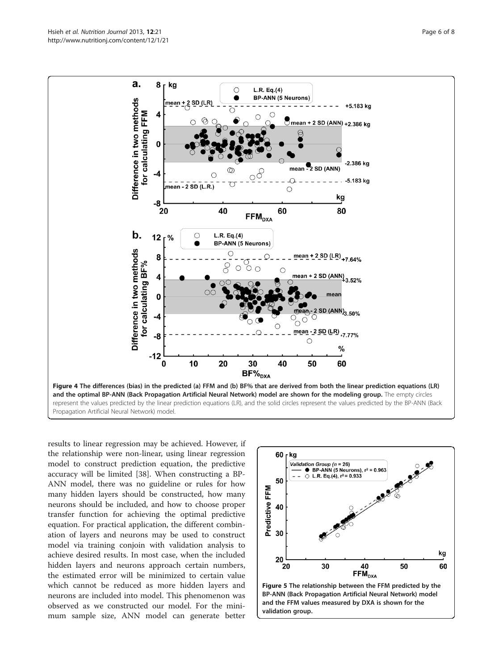<span id="page-5-0"></span>

results to linear regression may be achieved. However, if the relationship were non-linear, using linear regression model to construct prediction equation, the predictive accuracy will be limited [[38\]](#page-7-0). When constructing a BP-ANN model, there was no guideline or rules for how many hidden layers should be constructed, how many neurons should be included, and how to choose proper transfer function for achieving the optimal predictive equation. For practical application, the different combination of layers and neurons may be used to construct model via training conjoin with validation analysis to achieve desired results. In most case, when the included hidden layers and neurons approach certain numbers, the estimated error will be minimized to certain value which cannot be reduced as more hidden layers and neurons are included into model. This phenomenon was observed as we constructed our model. For the minimum sample size, ANN model can generate better

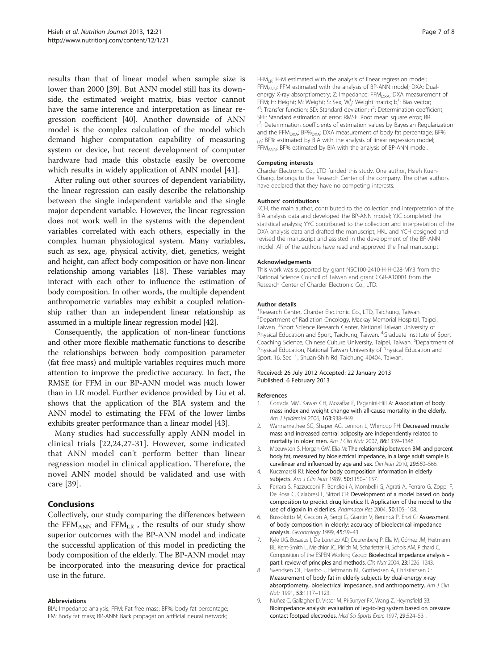<span id="page-6-0"></span>results than that of linear model when sample size is lower than 2000 [\[39\]](#page-7-0). But ANN model still has its downside, the estimated weight matrix, bias vector cannot have the same interence and interpretation as linear regression coefficient [[40\]](#page-7-0). Another downside of ANN model is the complex calculation of the model which demand higher computation capability of measuring system or device, but recent development of computer hardware had made this obstacle easily be overcome which results in widely application of ANN model [[41\]](#page-7-0).

After ruling out other sources of dependent variability, the linear regression can easily describe the relationship between the single independent variable and the single major dependent variable. However, the linear regression does not work well in the systems with the dependent variables correlated with each others, especially in the complex human physiological system. Many variables, such as sex, age, physical activity, diet, genetics, weight and height, can affect body composition or have non-linear relationship among variables [\[18\]](#page-7-0). These variables may interact with each other to influence the estimation of body composition. In other words, the multiple dependent anthropometric variables may exhibit a coupled relationship rather than an independent linear relationship as assumed in a multiple linear regression model [[42](#page-7-0)].

Consequently, the application of non-linear functions and other more flexible mathematic functions to describe the relationships between body composition parameter (fat free mass) and multiple variables requires much more attention to improve the predictive accuracy. In fact, the RMSE for FFM in our BP-ANN model was much lower than in LR model. Further evidence provided by Liu et al. shows that the application of the BIA system and the ANN model to estimating the FFM of the lower limbs exhibits greater performance than a linear model [\[43\]](#page-7-0).

Many studies had successfully apply ANN model in clinical trials [[22](#page-7-0),[24,27](#page-7-0)-[31](#page-7-0)]. However, some indicated that ANN model can't perform better than linear regression model in clinical application. Therefore, the novel ANN model should be validated and use with care [\[39\]](#page-7-0).

# **Conclusions**

Collectively, our study comparing the differences between the FFM<sub>ANN</sub> and FFM<sub>LR</sub>, the results of our study show superior outcomes with the BP-ANN model and indicate the successful application of this model in predicting the body composition of the elderly. The BP-ANN model may be incorporated into the measuring device for practical use in the future.

#### Abbreviations

BIA: Impedance analysis; FFM: Fat free mass; BF%: body fat percentage; FM: Body fat mass; BP-ANN: Back propagation artificial neural network;

FFM<sub>LR</sub>: FFM estimated with the analysis of linear regression model; FFMANN: FFM estimated with the analysis of BP-ANN model; DXA: Dualenergy X-ray absorptiometry; Z: Impedance; FFM<sub>DXA</sub>: DXA measurement of FFM; H: Height; M: Weight; S: Sex; Wi<sub>ij</sub>: Weight matrix; b<sub>i</sub><sup>1</sup>: Bias vector; f<sup>1</sup>: Transfer function; SD: Standard deviation; r<sup>2</sup>: Determination coefficient SEE: Standard estimation of error; RMSE: Root mean square error; BR r<sup>2</sup>: Determination coefficients of estimation values by Bayesian Regularization and the FFM<sub>DXA</sub>; BF%<sub>DXA</sub>: DXA measurement of body fat percentage; BF% LR: BF% estimated by BIA with the analysis of linear regression model; FFMANN: BF% estimated by BIA with the analysis of BP-ANN model.

#### Competing interests

Charder Electronic Co., LTD funded this study. One author, Hsieh Kuen-Chang, belongs to the Research Center of the company. The other authors have declared that they have no competing interests.

#### Authors' contributions

KCH, the main author, contributed to the collection and interpretation of the BIA analysis data and developed the BP-ANN model; YJC completed the statistical analysis; YYC contributed to the collection and interpretation of the DXA analysis data and drafted the manuscript; HKL and YCH designed and revised the manuscript and assisted in the development of the BP-ANN model. All of the authors have read and approved the final manuscript.

#### Acknowledgements

This work was supported by grant NSC100-2410-H-H-028-MY3 from the National Science Council of Taiwan and grant CGR-A10001 from the Research Center of Charder Electronic Co., LTD.

#### Author details

<sup>1</sup> Research Center, Charder Electronic Co., LTD, Taichung, Taiwan 2 Department of Radiation Oncology, Mackay Memorial Hospital, Taipei, Taiwan. <sup>3</sup>Sport Science Research Center, National Taiwan University of Physical Education and Sport, Taichung, Taiwan. <sup>4</sup>Graduate Institute of Sport Coaching Science, Chinese Culture University, Taipei, Taiwan. <sup>5</sup>Department of Physical Education, National Taiwan University of Physical Education and Sport, 16, Sec. 1, Shuan-Shih Rd, Taichung 40404, Taiwan.

#### Received: 26 July 2012 Accepted: 22 January 2013 Published: 6 February 2013

#### References

- 1. Corrada MM, Kawas CH, Mozaffar F, Paganini-Hill A: Association of body mass index and weight change with all-cause mortality in the elderly. Am J Epidemiol 2006, 163:938–949.
- 2. Wannamethee SG, Shaper AG, Lennon L, Whincup PH: Decreased muscle mass and increased central adiposity are independently related to mortality in older men. Am J Clin Nutr 2007, 86:1339–1346.
- 3. Meeuwsen S, Horgan GW, Elia M: The relationship between BMI and percent body fat, measured by bioelectrical impedance, in a large adult sample is curvilinear and influenced by age and sex. Clin Nutr 2010, 29:560-566.
- 4. Kuczmarski RJ: Need for body composition information in elderly subjects. Am J Clin Nutr 1989, 50:1150-1157.
- 5. Ferrara S, Pazzucconi F, Bondioli A, Mombelli G, Agrati A, Ferraro G, Zoppi F, De Rosa C, Calabresi L, Sirtori CR: Development of a model based on body composition to predict drug kinetics: II. Application of the model to the use of digoxin in elderlies. Pharmacol Res 2004, 50:105–108.
- 6. Bussolotto M, Ceccon A, Sergi G, Giantin V, Benincà P, Enzi G: Assessment of body composition in elderly: accuracy of bioelectrical impedance analysis. Gerontology 1999, 45:39–43.
- 7. Kyle UG, Bosaeus I, De Lorenzo AD, Deurenberg P, Elia M, Gómez JM, Heitmann BL, Kent-Smith L, Melchior JC, Pirlich M, Scharfetter H, Schols AM, Pichard C, Composition of the ESPEN Working Group: Bioelectrical impedance analysis – part I: review of principles and methods. Clin Nutr 2004, 23:1226-1243.
- 8. Svendsen OL, Haarbo J, Heitmann BL, Gotfredsen A, Christiansen C: Measurement of body fat in elderly subjects by dual-energy x-ray absorptiometry, bioelectrical impedance, and anthropometry. Am J Clin Nutr 1991, 53:1117–1123.
- 9. Nuñez C, Gallagher D, Visser M, Pi-Sunyer FX, Wang Z, Heymsfield SB: Bioimpedance analysis: evaluation of leg-to-leg system based on pressure contact footpad electrodes. Med Sci Sports Exerc 1997, 29:524–531.